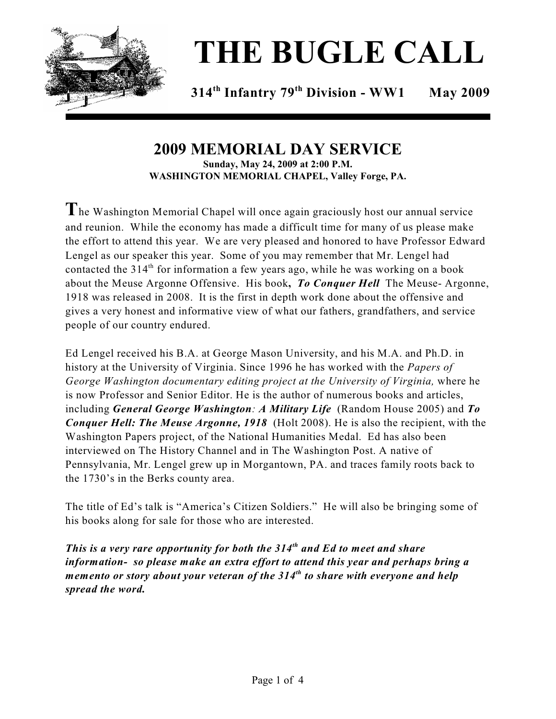

# **THE BUGLE CALL**

**314 Infantry 79 Division - WW1 May 2009 th th**

#### **2009 MEMORIAL DAY SERVICE Sunday, May 24, 2009 at 2:00 P.M. WASHINGTON MEMORIAL CHAPEL, Valley Forge, PA.**

**T**he Washington Memorial Chapel will once again graciously host our annual service and reunion. While the economy has made a difficult time for many of us please make the effort to attend this year. We are very pleased and honored to have Professor Edward Lengel as our speaker this year. Some of you may remember that Mr. Lengel had contacted the 314<sup>th</sup> for information a few years ago, while he was working on a book about the Meuse Argonne Offensive. His book**,** *To Conquer Hell* The Meuse- Argonne, 1918 was released in 2008. It is the first in depth work done about the offensive and gives a very honest and informative view of what our fathers, grandfathers, and service people of our country endured.

Ed Lengel received his B.A. at George Mason University, and his M.A. and Ph.D. in history at the University of Virginia. Since 1996 he has worked with the *Papers of George Washington documentary editing project at the University of Virginia,* where he is now Professor and Senior Editor. He is the author of numerous books and articles, including *General George Washington: A Military Life* (Random House 2005) and *To Conquer Hell: The Meuse Argonne, 1918* (Holt 2008). He is also the recipient, with the Washington Papers project, of the National Humanities Medal. Ed has also been interviewed on The History Channel and in The Washington Post. A native of Pennsylvania, Mr. Lengel grew up in Morgantown, PA. and traces family roots back to the 1730's in the Berks county area.

The title of Ed's talk is "America's Citizen Soldiers." He will also be bringing some of his books along for sale for those who are interested.

*This is a very rare opportunity for both the 314<sup>th</sup> and Ed to meet and share information- so please make an extra effort to attend this year and perhaps bring a memento or story about your veteran of the 314<sup>th</sup> to share with everyone and help spread the word.*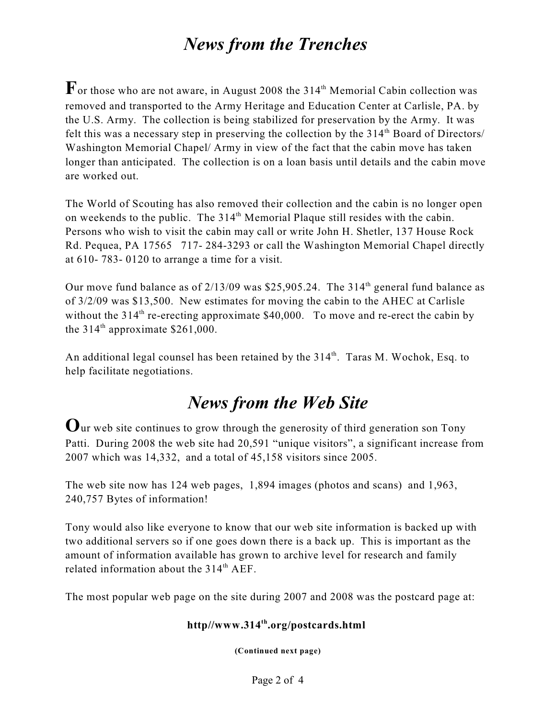# *News from the Trenches*

 $\mathbf{F}$  or those who are not aware, in August 2008 the 314<sup>th</sup> Memorial Cabin collection was removed and transported to the Army Heritage and Education Center at Carlisle, PA. by the U.S. Army. The collection is being stabilized for preservation by the Army. It was felt this was a necessary step in preserving the collection by the  $314<sup>th</sup>$  Board of Directors/ Washington Memorial Chapel/ Army in view of the fact that the cabin move has taken longer than anticipated. The collection is on a loan basis until details and the cabin move are worked out.

The World of Scouting has also removed their collection and the cabin is no longer open on weekends to the public. The  $314<sup>th</sup>$  Memorial Plaque still resides with the cabin. Persons who wish to visit the cabin may call or write John H. Shetler, 137 House Rock Rd. Pequea, PA 17565 717- 284-3293 or call the Washington Memorial Chapel directly at 610- 783- 0120 to arrange a time for a visit.

Our move fund balance as of  $2/13/09$  was \$25,905.24. The 314<sup>th</sup> general fund balance as of 3/2/09 was \$13,500. New estimates for moving the cabin to the AHEC at Carlisle without the  $314<sup>th</sup>$  re-erecting approximate \$40,000. To move and re-erect the cabin by the  $314<sup>th</sup>$  approximate \$261,000.

An additional legal counsel has been retained by the  $314<sup>th</sup>$ . Taras M. Wochok, Esq. to help facilitate negotiations.

# *News from the Web Site*

**O**ur web site continues to grow through the generosity of third generation son Tony Patti. During 2008 the web site had 20,591 "unique visitors", a significant increase from 2007 which was 14,332, and a total of 45,158 visitors since 2005.

The web site now has 124 web pages, 1,894 images (photos and scans) and 1,963, 240,757 Bytes of information!

Tony would also like everyone to know that our web site information is backed up with two additional servers so if one goes down there is a back up. This is important as the amount of information available has grown to archive level for research and family related information about the  $314<sup>th</sup> AEF$ .

The most popular web page on the site during 2007 and 2008 was the postcard page at:

### **http//www.314 .org/postcards.html th**

**(Continued next page)**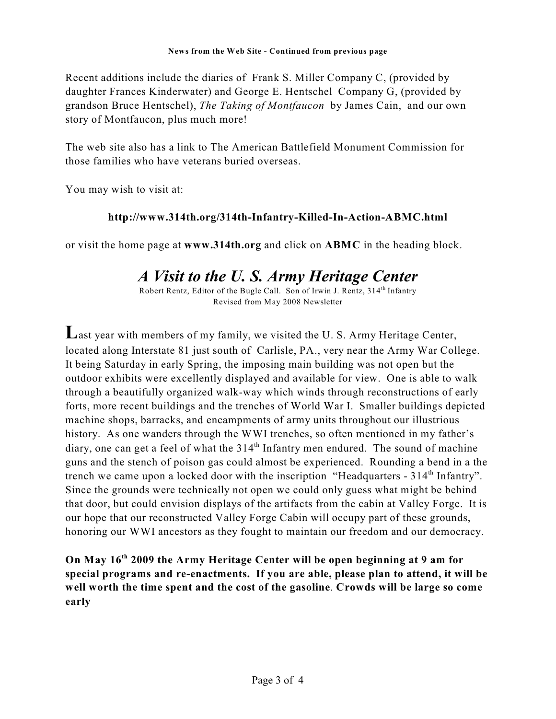Recent additions include the diaries of Frank S. Miller Company C, (provided by daughter Frances Kinderwater) and George E. Hentschel Company G, (provided by grandson Bruce Hentschel), *The Taking of Montfaucon* by James Cain, and our own story of Montfaucon, plus much more!

The web site also has a link to The American Battlefield Monument Commission for those families who have veterans buried overseas.

You may wish to visit at:

#### **http://www.314th.org/314th-Infantry-Killed-In-Action-ABMC.html**

or visit the home page at **www.314th.org** and click on **ABMC** in the heading block.

## *A Visit to the U. S. Army Heritage Center*

Robert Rentz, Editor of the Bugle Call. Son of Irwin J. Rentz,  $314<sup>th</sup>$  Infantry Revised from May 2008 Newsletter

**L**ast year with members of my family, we visited the U. S. Army Heritage Center, located along Interstate 81 just south of Carlisle, PA., very near the Army War College. It being Saturday in early Spring, the imposing main building was not open but the outdoor exhibits were excellently displayed and available for view. One is able to walk through a beautifully organized walk-way which winds through reconstructions of early forts, more recent buildings and the trenches of World War I. Smaller buildings depicted machine shops, barracks, and encampments of army units throughout our illustrious history. As one wanders through the WWI trenches, so often mentioned in my father's diary, one can get a feel of what the 314<sup>th</sup> Infantry men endured. The sound of machine guns and the stench of poison gas could almost be experienced. Rounding a bend in a the trench we came upon a locked door with the inscription "Headquarters - 314<sup>th</sup> Infantry". Since the grounds were technically not open we could only guess what might be behind that door, but could envision displays of the artifacts from the cabin at Valley Forge. It is our hope that our reconstructed Valley Forge Cabin will occupy part of these grounds, honoring our WWI ancestors as they fought to maintain our freedom and our democracy.

**On May 16<sup>th</sup> 2009 the Army Heritage Center will be open beginning at 9 am for special programs and re-enactments. If you are able, please plan to attend, it will be well worth the time spent and the cost of the gasoline**. **Crowds will be large so come early**